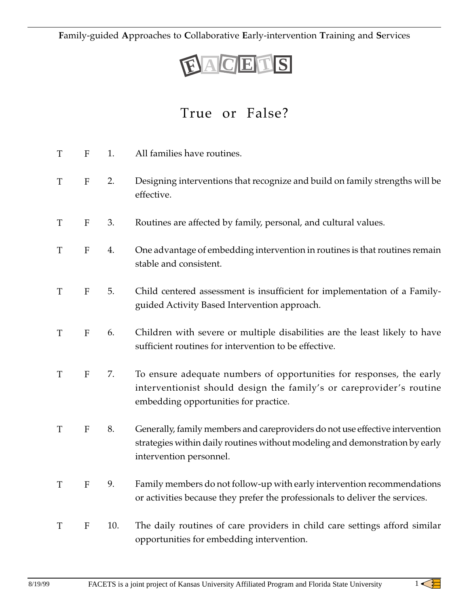**F**amily-guided **A**pproaches to **C**ollaborative **E**arly-intervention **T**raining and **S**ervices

## **FA C E T S**

## True or False?

| T | ${\bf F}$                 | 1.  | All families have routines.                                                                                                                                                              |
|---|---------------------------|-----|------------------------------------------------------------------------------------------------------------------------------------------------------------------------------------------|
| T | ${\bf F}$                 | 2.  | Designing interventions that recognize and build on family strengths will be<br>effective.                                                                                               |
| T | F                         | 3.  | Routines are affected by family, personal, and cultural values.                                                                                                                          |
| T | $\boldsymbol{F}$          | 4.  | One advantage of embedding intervention in routines is that routines remain<br>stable and consistent.                                                                                    |
| T | ${\bf F}$                 | 5.  | Child centered assessment is insufficient for implementation of a Family-<br>guided Activity Based Intervention approach.                                                                |
| T | ${\bf F}$                 | 6.  | Children with severe or multiple disabilities are the least likely to have<br>sufficient routines for intervention to be effective.                                                      |
| T | ${\bf F}$                 | 7.  | To ensure adequate numbers of opportunities for responses, the early<br>interventionist should design the family's or careprovider's routine<br>embedding opportunities for practice.    |
| T | ${\bf F}$                 | 8.  | Generally, family members and careproviders do not use effective intervention<br>strategies within daily routines without modeling and demonstration by early<br>intervention personnel. |
| T | $\boldsymbol{\mathrm{F}}$ | 9.  | Family members do not follow-up with early intervention recommendations<br>or activities because they prefer the professionals to deliver the services.                                  |
| T | F                         | 10. | The daily routines of care providers in child care settings afford similar<br>opportunities for embedding intervention.                                                                  |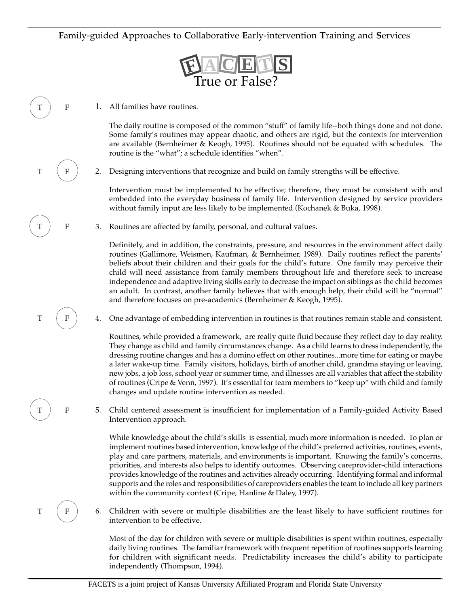## **F**amily-guided **A**pproaches to **C**ollaborative **E**arly-intervention **T**raining and **S**ervices



1. All families have routines.

 $\boldsymbol{\mathrm{F}}$ 

 $\mathbf F$ 

 $\mathbf F$ 

T F

 $\boldsymbol{\mathrm{T}}$ 

 $_{\rm T}$ 

The daily routine is composed of the common "stuff" of family life--both things done and not done. Some family's routines may appear chaotic, and others are rigid, but the contexts for intervention are available (Bernheimer & Keogh, 1995). Routines should not be equated with schedules. The routine is the "what"; a schedule identifies "when".

2. Designing interventions that recognize and build on family strengths will be effective.

Intervention must be implemented to be effective; therefore, they must be consistent with and embedded into the everyday business of family life. Intervention designed by service providers without family input are less likely to be implemented (Kochanek & Buka, 1998).

3. Routines are affected by family, personal, and cultural values.

Definitely, and in addition, the constraints, pressure, and resources in the environment affect daily routines (Gallimore, Weismen, Kaufman, & Bernheimer, 1989). Daily routines reflect the parents' beliefs about their children and their goals for the child's future. One family may perceive their child will need assistance from family members throughout life and therefore seek to increase independence and adaptive living skills early to decrease the impact on siblings as the child becomes an adult. In contrast, another family believes that with enough help, their child will be "normal" and therefore focuses on pre-academics (Bernheimer & Keogh, 1995).

4. One advantage of embedding intervention in routines is that routines remain stable and consistent.

Routines, while provided a framework, are really quite fluid because they reflect day to day reality. They change as child and family circumstances change. As a child learns to dress independently, the dressing routine changes and has a domino effect on other routines...more time for eating or maybe a later wake-up time. Family visitors, holidays, birth of another child, grandma staying or leaving, new jobs, a job loss, school year or summer time, and illnesses are all variables that affect the stability of routines (Cripe & Venn, 1997). It's essential for team members to "keep up" with child and family changes and update routine intervention as needed.

5. Child centered assessment is insufficient for implementation of a Family-guided Activity Based Intervention approach.

While knowledge about the child's skills is essential, much more information is needed. To plan or implement routines based intervention, knowledge of the child's preferred activities, routines, events, play and care partners, materials, and environments is important. Knowing the family's concerns, priorities, and interests also helps to identify outcomes. Observing careprovider-child interactions provides knowledge of the routines and activities already occurring. Identifying formal and informal supports and the roles and responsibilities of careproviders enables the team to include all key partners within the community context (Cripe, Hanline & Daley, 1997).

6. Children with severe or multiple disabilities are the least likely to have sufficient routines for intervention to be effective.

Most of the day for children with severe or multiple disabilities is spent within routines, especially daily living routines. The familiar framework with frequent repetition of routines supports learning for children with significant needs. Predictability increases the child's ability to participate independently (Thompson, 1994).